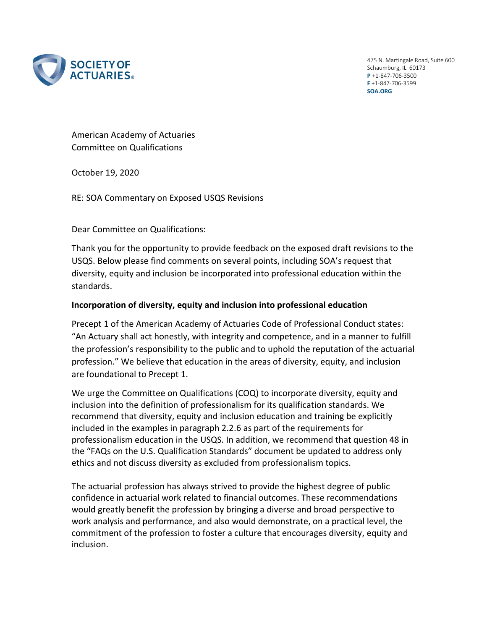

475 N. Martingale Road, Suite 600 Schaumburg, IL 60173 **P** +1-847-706-3500 **F** +1-847-706-3599 **SOA.ORG**

American Academy of Actuaries Committee on Qualifications

October 19, 2020

RE: SOA Commentary on Exposed USQS Revisions

Dear Committee on Qualifications:

Thank you for the opportunity to provide feedback on the exposed draft revisions to the USQS. Below please find comments on several points, including SOA's request that diversity, equity and inclusion be incorporated into professional education within the standards.

## **Incorporation of diversity, equity and inclusion into professional education**

Precept 1 of the American Academy of Actuaries Code of Professional Conduct states: "An Actuary shall act honestly, with integrity and competence, and in a manner to fulfill the profession's responsibility to the public and to uphold the reputation of the actuarial profession." We believe that education in the areas of diversity, equity, and inclusion are foundational to Precept 1.

We urge the Committee on Qualifications (COQ) to incorporate diversity, equity and inclusion into the definition of professionalism for its qualification standards. We recommend that diversity, equity and inclusion education and training be explicitly included in the examples in paragraph 2.2.6 as part of the requirements for professionalism education in the USQS. In addition, we recommend that question 48 in the "FAQs on the U.S. Qualification Standards" document be updated to address only ethics and not discuss diversity as excluded from professionalism topics.

The actuarial profession has always strived to provide the highest degree of public confidence in actuarial work related to financial outcomes. These recommendations would greatly benefit the profession by bringing a diverse and broad perspective to work analysis and performance, and also would demonstrate, on a practical level, the commitment of the profession to foster a culture that encourages diversity, equity and inclusion.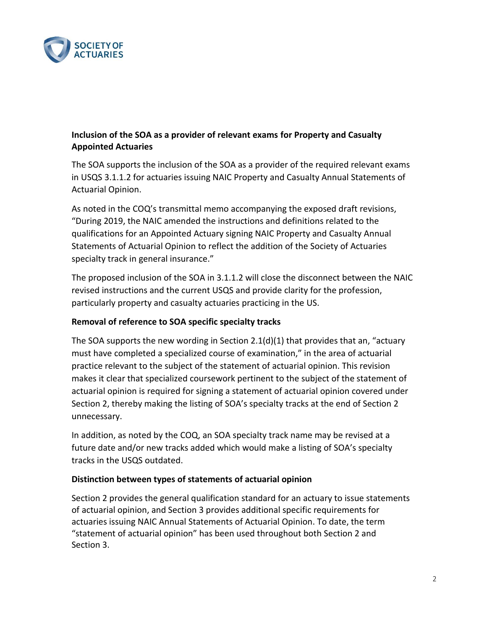

## **Inclusion of the SOA as a provider of relevant exams for Property and Casualty Appointed Actuaries**

The SOA supports the inclusion of the SOA as a provider of the required relevant exams in USQS 3.1.1.2 for actuaries issuing NAIC Property and Casualty Annual Statements of Actuarial Opinion.

As noted in the COQ's transmittal memo accompanying the exposed draft revisions, "During 2019, the NAIC amended the instructions and definitions related to the qualifications for an Appointed Actuary signing NAIC Property and Casualty Annual Statements of Actuarial Opinion to reflect the addition of the Society of Actuaries specialty track in general insurance."

The proposed inclusion of the SOA in 3.1.1.2 will close the disconnect between the NAIC revised instructions and the current USQS and provide clarity for the profession, particularly property and casualty actuaries practicing in the US.

## **Removal of reference to SOA specific specialty tracks**

The SOA supports the new wording in Section 2.1(d)(1) that provides that an, "actuary must have completed a specialized course of examination," in the area of actuarial practice relevant to the subject of the statement of actuarial opinion. This revision makes it clear that specialized coursework pertinent to the subject of the statement of actuarial opinion is required for signing a statement of actuarial opinion covered under Section 2, thereby making the listing of SOA's specialty tracks at the end of Section 2 unnecessary.

In addition, as noted by the COQ, an SOA specialty track name may be revised at a future date and/or new tracks added which would make a listing of SOA's specialty tracks in the USQS outdated.

## **Distinction between types of statements of actuarial opinion**

Section 2 provides the general qualification standard for an actuary to issue statements of actuarial opinion, and Section 3 provides additional specific requirements for actuaries issuing NAIC Annual Statements of Actuarial Opinion. To date, the term "statement of actuarial opinion" has been used throughout both Section 2 and Section 3.